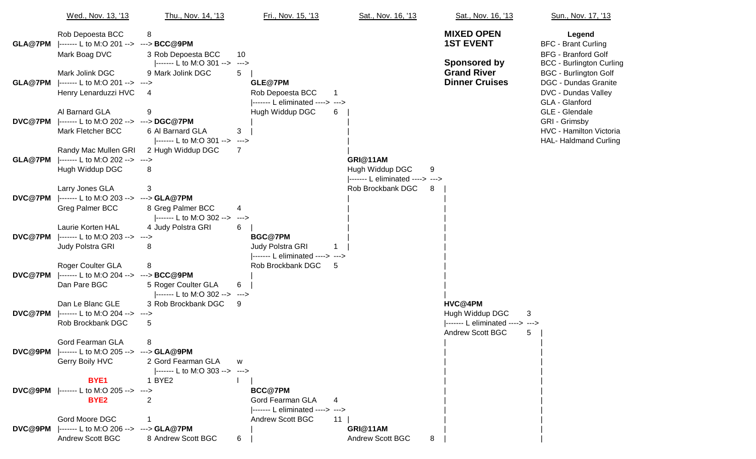|                | Wed., Nov. 13, '13                                                                    | Thu., Nov. 14, '13                                         | Fri., Nov. 15, '13                                                                 | Sat., Nov. 16, '13                                                   | Sat., Nov. 16, '13                                                                                  | Sun., Nov. 17, '13                                                                                                    |
|----------------|---------------------------------------------------------------------------------------|------------------------------------------------------------|------------------------------------------------------------------------------------|----------------------------------------------------------------------|-----------------------------------------------------------------------------------------------------|-----------------------------------------------------------------------------------------------------------------------|
|                | Rob Depoesta BCC<br>GLA@7PM  ------- L to M:O 201 --> ---> BCC@9PM<br>Mark Boag DVC   | 8<br>3 Rob Depoesta BCC                                    | 10                                                                                 |                                                                      | <b>MIXED OPEN</b><br><b>1ST EVENT</b>                                                               | Legend<br><b>BFC - Brant Curling</b><br><b>BFG - Branford Golf</b>                                                    |
| GLA@7PM        | Mark Jolink DGC<br> ------- L to M:O 201 --> ---><br>Henry Lenarduzzi HVC             | ------- L to M:O 301 --> ---><br>9 Mark Jolink DGC<br>4    | 5<br>GLE@7PM<br>Rob Depoesta BCC                                                   |                                                                      | <b>Sponsored by</b><br><b>Grand River</b><br><b>Dinner Cruises</b>                                  | <b>BCC - Burlington Curling</b><br><b>BGC - Burlington Golf</b><br><b>DGC - Dundas Granite</b><br>DVC - Dundas Valley |
| <b>DVC@7PM</b> | Al Barnard GLA<br> ------- L to M:O 202 --> ---> DGC@7PM<br>Mark Fletcher BCC         | 9<br>6 Al Barnard GLA<br> ------- L to M:O 301 --> --->    | ------- L eliminated ----> ---><br>Hugh Widdup DGC<br>3                            | 6                                                                    |                                                                                                     | GLA - Glanford<br>GLE - Glendale<br>GRI - Grimsby<br>HVC - Hamilton Victoria<br><b>HAL- Haldmand Curling</b>          |
| GLA@7PM        | Randy Mac Mullen GRI<br> ------- L to M:O 202 --> ---><br>Hugh Widdup DGC             | 2 Hugh Widdup DGC<br>8                                     | 7                                                                                  | GRI@11AM<br>Hugh Widdup DGC<br>9<br> ------- L eliminated ----> ---> |                                                                                                     |                                                                                                                       |
| <b>DVC@7PM</b> | Larry Jones GLA<br> ------- L to M:O 203 --> ---> GLA@7PM<br>Greg Palmer BCC          | 3<br>8 Greg Palmer BCC<br> ------- L to M:O 302 -->        | 4<br>$\rightarrow$                                                                 | Rob Brockbank DGC<br>-8                                              |                                                                                                     |                                                                                                                       |
| DVC@7PM        | <b>Laurie Korten HAL</b><br>$ ----- L$ to M:O 203 --><br>Judy Polstra GRI             | 4 Judy Polstra GRI<br>---><br>8                            | 6<br><b>BGC@7PM</b><br><b>Judy Polstra GRI</b><br> ------- L eliminated ----> ---> |                                                                      |                                                                                                     |                                                                                                                       |
| DVC@7PM        | Roger Coulter GLA<br> ------- L to M:O 204 --> ---> BCC@9PM<br>Dan Pare BGC           | 8<br>5 Roger Coulter GLA<br> ------- L to M:O 302 --> ---> | Rob Brockbank DGC<br>6                                                             | -5                                                                   |                                                                                                     |                                                                                                                       |
| DVC@7PM        | Dan Le Blanc GLE<br> ------- L to M:O 204 --> ---><br>Rob Brockbank DGC               | 3 Rob Brockbank DGC<br>$\overline{5}$                      | 9                                                                                  |                                                                      | HVC@4PM<br>Hugh Widdup DGC<br>3<br> ------- L eliminated ----> ---><br><b>Andrew Scott BGC</b><br>5 |                                                                                                                       |
|                | Gord Fearman GLA<br>DVC@9PM  ------- L to M:O 205 --> ---> GLA@9PM<br>Gerry Boily HVC | 8<br>2 Gord Fearman GLA<br> ------- L to M:O 303 --> --->  | W                                                                                  |                                                                      |                                                                                                     |                                                                                                                       |
|                | BYE <sub>1</sub><br>DVC@9PM  ------- L to M:O 205 --> ---><br>BYE <sub>2</sub>        | 1 BYE2<br>$\overline{2}$                                   | <b>BCC@7PM</b><br>Gord Fearman GLA<br> ------- L eliminated ----> --->             |                                                                      |                                                                                                     |                                                                                                                       |
| DVC@9PM        | Gord Moore DGC<br>$ ----- L$ to M:O 206 --><br>Andrew Scott BGC                       | ---> GLA@7PM<br>8 Andrew Scott BGC                         | <b>Andrew Scott BGC</b><br>6                                                       | 11<br>GRI@11AM<br>Andrew Scott BGC<br>8                              |                                                                                                     |                                                                                                                       |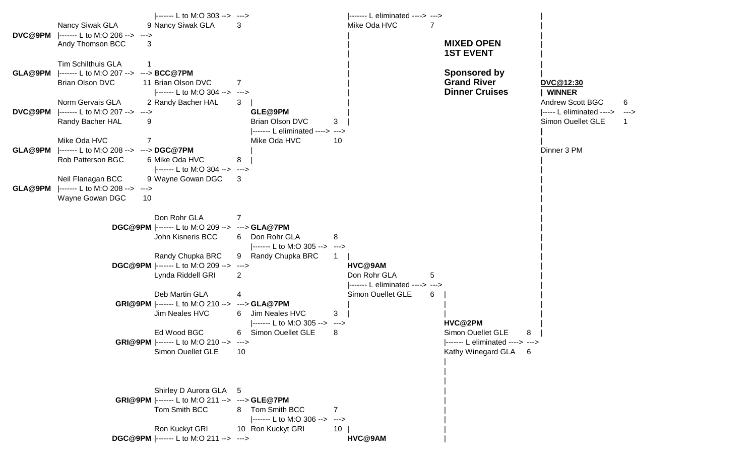